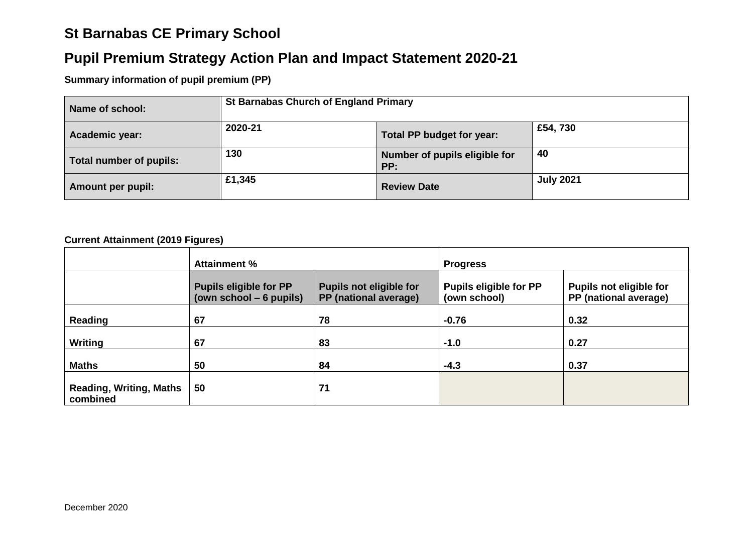# **St Barnabas CE Primary School**

# **Pupil Premium Strategy Action Plan and Impact Statement 2020-21**

### **Summary information of pupil premium (PP)**

| Name of school:         | <b>St Barnabas Church of England Primary</b> |                                      |                  |
|-------------------------|----------------------------------------------|--------------------------------------|------------------|
| Academic year:          | 2020-21                                      | Total PP budget for year:            | £54,730          |
| Total number of pupils: | 130                                          | Number of pupils eligible for<br>PP: | 40               |
| Amount per pupil:       | £1,345                                       | <b>Review Date</b>                   | <b>July 2021</b> |

#### **Current Attainment (2019 Figures)**

|                                            | <b>Attainment %</b>                                                                                                  |    | <b>Progress</b>                               |                                                         |
|--------------------------------------------|----------------------------------------------------------------------------------------------------------------------|----|-----------------------------------------------|---------------------------------------------------------|
|                                            | <b>Pupils eligible for PP</b><br><b>Pupils not eligible for</b><br>PP (national average)<br>(own school $-6$ pupils) |    | <b>Pupils eligible for PP</b><br>(own school) | <b>Pupils not eligible for</b><br>PP (national average) |
| Reading                                    | 67                                                                                                                   | 78 | $-0.76$                                       | 0.32                                                    |
| <b>Writing</b>                             | 67                                                                                                                   | 83 | $-1.0$                                        | 0.27                                                    |
| <b>Maths</b>                               | 50                                                                                                                   | 84 | $-4.3$                                        | 0.37                                                    |
| <b>Reading, Writing, Maths</b><br>combined | 50                                                                                                                   | 71 |                                               |                                                         |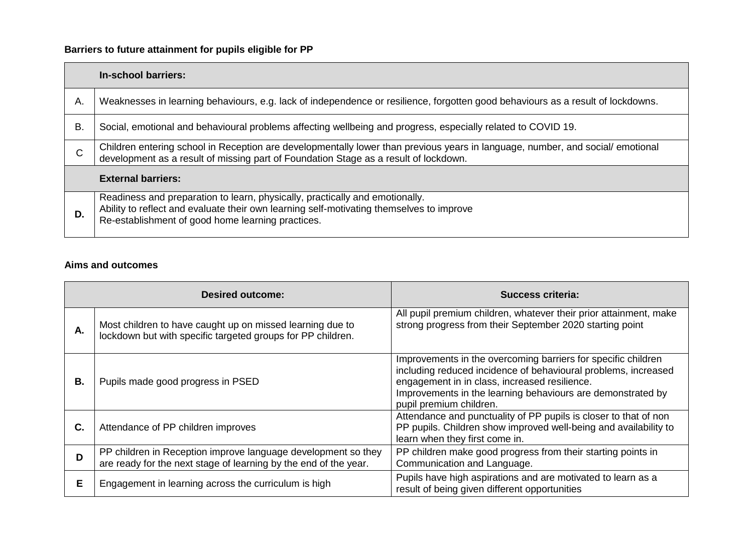## **Barriers to future attainment for pupils eligible for PP**

|    | In-school barriers:                                                                                                                                                                                                           |
|----|-------------------------------------------------------------------------------------------------------------------------------------------------------------------------------------------------------------------------------|
| Α. | Weaknesses in learning behaviours, e.g. lack of independence or resilience, forgotten good behaviours as a result of lockdowns.                                                                                               |
| В. | Social, emotional and behavioural problems affecting wellbeing and progress, especially related to COVID 19.                                                                                                                  |
| C  | Children entering school in Reception are developmentally lower than previous years in language, number, and social/emotional<br>development as a result of missing part of Foundation Stage as a result of lockdown.         |
|    | <b>External barriers:</b>                                                                                                                                                                                                     |
| D. | Readiness and preparation to learn, physically, practically and emotionally.<br>Ability to reflect and evaluate their own learning self-motivating themselves to improve<br>Re-establishment of good home learning practices. |

### **Aims and outcomes**

|    | Desired outcome:                                                                                                                  | <b>Success criteria:</b>                                                                                                                                                                                                                                                   |
|----|-----------------------------------------------------------------------------------------------------------------------------------|----------------------------------------------------------------------------------------------------------------------------------------------------------------------------------------------------------------------------------------------------------------------------|
| Α. | Most children to have caught up on missed learning due to<br>lockdown but with specific targeted groups for PP children.          | All pupil premium children, whatever their prior attainment, make<br>strong progress from their September 2020 starting point                                                                                                                                              |
| В. | Pupils made good progress in PSED                                                                                                 | Improvements in the overcoming barriers for specific children<br>including reduced incidence of behavioural problems, increased<br>engagement in in class, increased resilience.<br>Improvements in the learning behaviours are demonstrated by<br>pupil premium children. |
| C. | Attendance of PP children improves                                                                                                | Attendance and punctuality of PP pupils is closer to that of non<br>PP pupils. Children show improved well-being and availability to<br>learn when they first come in.                                                                                                     |
| D  | PP children in Reception improve language development so they<br>are ready for the next stage of learning by the end of the year. | PP children make good progress from their starting points in<br>Communication and Language.                                                                                                                                                                                |
| E. | Engagement in learning across the curriculum is high                                                                              | Pupils have high aspirations and are motivated to learn as a<br>result of being given different opportunities                                                                                                                                                              |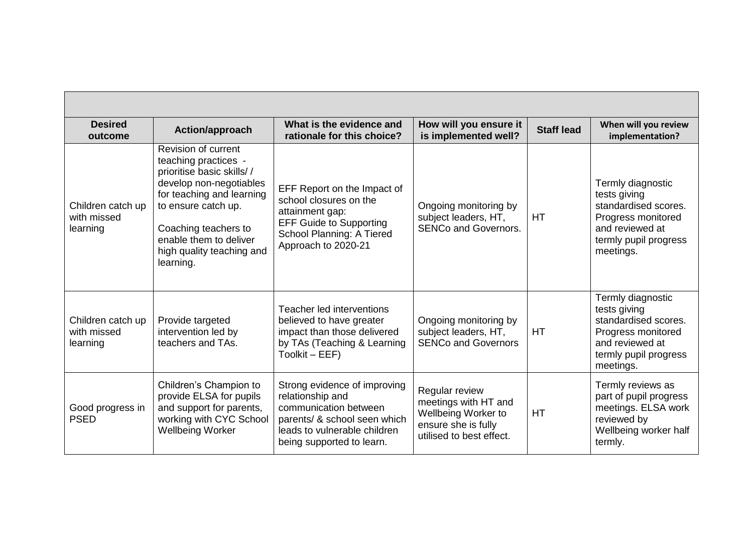| <b>Desired</b><br>outcome                    | Action/approach                                                                                                                                                                                                                                     | What is the evidence and<br>rationale for this choice?                                                                                                                 | How will you ensure it<br>is implemented well?                                                                   | <b>Staff lead</b> | When will you review<br>implementation?                                                                                                  |
|----------------------------------------------|-----------------------------------------------------------------------------------------------------------------------------------------------------------------------------------------------------------------------------------------------------|------------------------------------------------------------------------------------------------------------------------------------------------------------------------|------------------------------------------------------------------------------------------------------------------|-------------------|------------------------------------------------------------------------------------------------------------------------------------------|
| Children catch up<br>with missed<br>learning | Revision of current<br>teaching practices -<br>prioritise basic skills//<br>develop non-negotiables<br>for teaching and learning<br>to ensure catch up.<br>Coaching teachers to<br>enable them to deliver<br>high quality teaching and<br>learning. | EFF Report on the Impact of<br>school closures on the<br>attainment gap:<br><b>EFF Guide to Supporting</b><br>School Planning: A Tiered<br>Approach to 2020-21         | Ongoing monitoring by<br>subject leaders, HT,<br><b>SENCo and Governors.</b>                                     | <b>HT</b>         | Termly diagnostic<br>tests giving<br>standardised scores.<br>Progress monitored<br>and reviewed at<br>termly pupil progress<br>meetings. |
| Children catch up<br>with missed<br>learning | Provide targeted<br>intervention led by<br>teachers and TAs.                                                                                                                                                                                        | Teacher led interventions<br>believed to have greater<br>impact than those delivered<br>by TAs (Teaching & Learning<br>Toolkit - EEF)                                  | Ongoing monitoring by<br>subject leaders, HT,<br><b>SENCo and Governors</b>                                      | <b>HT</b>         | Termly diagnostic<br>tests giving<br>standardised scores.<br>Progress monitored<br>and reviewed at<br>termly pupil progress<br>meetings. |
| Good progress in<br><b>PSED</b>              | Children's Champion to<br>provide ELSA for pupils<br>and support for parents,<br>working with CYC School<br><b>Wellbeing Worker</b>                                                                                                                 | Strong evidence of improving<br>relationship and<br>communication between<br>parents/ & school seen which<br>leads to vulnerable children<br>being supported to learn. | Regular review<br>meetings with HT and<br>Wellbeing Worker to<br>ensure she is fully<br>utilised to best effect. | HT                | Termly reviews as<br>part of pupil progress<br>meetings. ELSA work<br>reviewed by<br>Wellbeing worker half<br>termly.                    |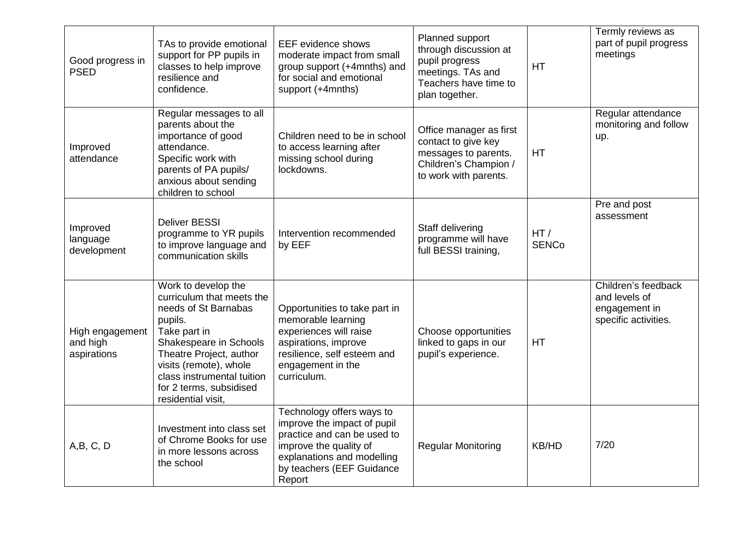| Good progress in<br><b>PSED</b>            | TAs to provide emotional<br>support for PP pupils in<br>classes to help improve<br>resilience and<br>confidence.                                                                                                                                                  | <b>EEF</b> evidence shows<br>moderate impact from small<br>group support (+4mnths) and<br>for social and emotional<br>support (+4mnths)                                                | Planned support<br>through discussion at<br>pupil progress<br>meetings. TAs and<br>Teachers have time to<br>plan together. | HT                  | Termly reviews as<br>part of pupil progress<br>meetings                       |
|--------------------------------------------|-------------------------------------------------------------------------------------------------------------------------------------------------------------------------------------------------------------------------------------------------------------------|----------------------------------------------------------------------------------------------------------------------------------------------------------------------------------------|----------------------------------------------------------------------------------------------------------------------------|---------------------|-------------------------------------------------------------------------------|
| Improved<br>attendance                     | Regular messages to all<br>parents about the<br>importance of good<br>attendance.<br>Specific work with<br>parents of PA pupils/<br>anxious about sending<br>children to school                                                                                   | Children need to be in school<br>to access learning after<br>missing school during<br>lockdowns.                                                                                       | Office manager as first<br>contact to give key<br>messages to parents.<br>Children's Champion /<br>to work with parents.   | HT                  | Regular attendance<br>monitoring and follow<br>up.                            |
| Improved<br>language<br>development        | <b>Deliver BESSI</b><br>programme to YR pupils<br>to improve language and<br>communication skills                                                                                                                                                                 | Intervention recommended<br>by EEF                                                                                                                                                     | Staff delivering<br>programme will have<br>full BESSI training,                                                            | HT/<br><b>SENCo</b> | Pre and post<br>assessment                                                    |
| High engagement<br>and high<br>aspirations | Work to develop the<br>curriculum that meets the<br>needs of St Barnabas<br>pupils.<br>Take part in<br>Shakespeare in Schools<br>Theatre Project, author<br>visits (remote), whole<br>class instrumental tuition<br>for 2 terms, subsidised<br>residential visit, | Opportunities to take part in<br>memorable learning<br>experiences will raise<br>aspirations, improve<br>resilience, self esteem and<br>engagement in the<br>curriculum.               | Choose opportunities<br>linked to gaps in our<br>pupil's experience.                                                       | HT                  | Children's feedback<br>and levels of<br>engagement in<br>specific activities. |
| A,B,C,D                                    | Investment into class set<br>of Chrome Books for use<br>in more lessons across<br>the school                                                                                                                                                                      | Technology offers ways to<br>improve the impact of pupil<br>practice and can be used to<br>improve the quality of<br>explanations and modelling<br>by teachers (EEF Guidance<br>Report | <b>Regular Monitoring</b>                                                                                                  | KB/HD               | 7/20                                                                          |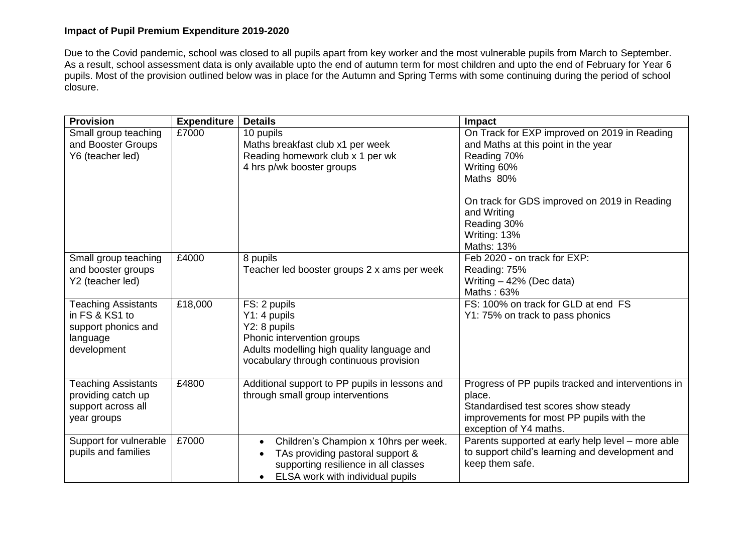#### **Impact of Pupil Premium Expenditure 2019-2020**

Due to the Covid pandemic, school was closed to all pupils apart from key worker and the most vulnerable pupils from March to September. As a result, school assessment data is only available upto the end of autumn term for most children and upto the end of February for Year 6 pupils. Most of the provision outlined below was in place for the Autumn and Spring Terms with some continuing during the period of school closure.

| <b>Provision</b>                              | <b>Expenditure</b> | <b>Details</b>                                     | Impact                                                                                               |
|-----------------------------------------------|--------------------|----------------------------------------------------|------------------------------------------------------------------------------------------------------|
| Small group teaching                          | £7000              | 10 pupils                                          | On Track for EXP improved on 2019 in Reading                                                         |
| and Booster Groups                            |                    | Maths breakfast club x1 per week                   | and Maths at this point in the year                                                                  |
| Y6 (teacher led)                              |                    | Reading homework club x 1 per wk                   | Reading 70%                                                                                          |
|                                               |                    | 4 hrs p/wk booster groups                          | Writing 60%                                                                                          |
|                                               |                    |                                                    | Maths 80%                                                                                            |
|                                               |                    |                                                    | On track for GDS improved on 2019 in Reading                                                         |
|                                               |                    |                                                    | and Writing                                                                                          |
|                                               |                    |                                                    | Reading 30%                                                                                          |
|                                               |                    |                                                    | Writing: 13%                                                                                         |
|                                               |                    |                                                    | Maths: 13%                                                                                           |
| Small group teaching                          | £4000              | 8 pupils                                           | Feb 2020 - on track for EXP:                                                                         |
| and booster groups                            |                    | Teacher led booster groups 2 x ams per week        | Reading: 75%                                                                                         |
| Y2 (teacher led)                              |                    |                                                    | Writing - 42% (Dec data)                                                                             |
|                                               |                    |                                                    | Maths: 63%                                                                                           |
| <b>Teaching Assistants</b>                    | £18,000            | FS: 2 pupils                                       | FS: 100% on track for GLD at end FS                                                                  |
| in FS & KS1 to                                |                    | Y1: 4 pupils                                       | Y1: 75% on track to pass phonics                                                                     |
| support phonics and                           |                    | Y2: 8 pupils                                       |                                                                                                      |
| language                                      |                    | Phonic intervention groups                         |                                                                                                      |
| development                                   |                    | Adults modelling high quality language and         |                                                                                                      |
|                                               |                    | vocabulary through continuous provision            |                                                                                                      |
|                                               |                    |                                                    |                                                                                                      |
| <b>Teaching Assistants</b>                    | £4800              | Additional support to PP pupils in lessons and     | Progress of PP pupils tracked and interventions in                                                   |
| providing catch up                            |                    | through small group interventions                  | place.                                                                                               |
| support across all                            |                    |                                                    | Standardised test scores show steady                                                                 |
| year groups                                   |                    |                                                    | improvements for most PP pupils with the<br>exception of Y4 maths.                                   |
|                                               | £7000              |                                                    |                                                                                                      |
| Support for vulnerable<br>pupils and families |                    | Children's Champion x 10hrs per week.<br>$\bullet$ | Parents supported at early help level - more able<br>to support child's learning and development and |
|                                               |                    | TAs providing pastoral support &                   | keep them safe.                                                                                      |
|                                               |                    | supporting resilience in all classes               |                                                                                                      |
|                                               |                    | ELSA work with individual pupils                   |                                                                                                      |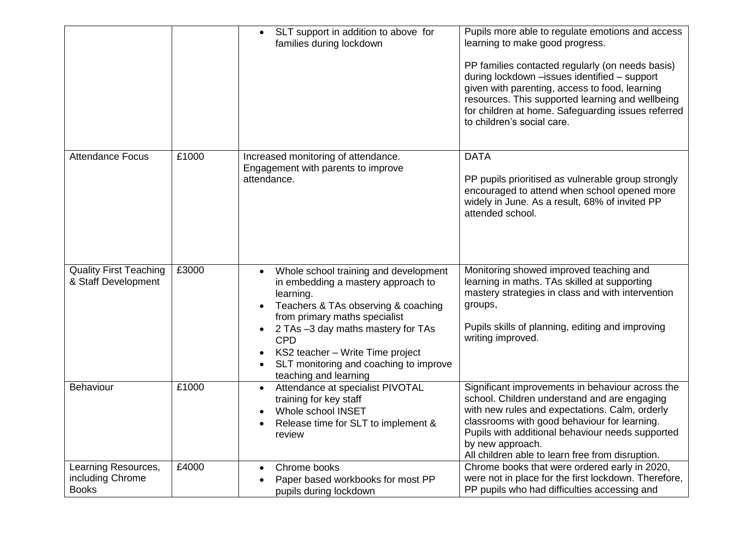|                                                         |       | SLT support in addition to above for<br>families during lockdown                                                                                                                                                                                                                                                                         | Pupils more able to regulate emotions and access<br>learning to make good progress.<br>PP families contacted regularly (on needs basis)<br>during lockdown - issues identified - support<br>given with parenting, access to food, learning<br>resources. This supported learning and wellbeing<br>for children at home. Safeguarding issues referred<br>to children's social care. |
|---------------------------------------------------------|-------|------------------------------------------------------------------------------------------------------------------------------------------------------------------------------------------------------------------------------------------------------------------------------------------------------------------------------------------|------------------------------------------------------------------------------------------------------------------------------------------------------------------------------------------------------------------------------------------------------------------------------------------------------------------------------------------------------------------------------------|
| <b>Attendance Focus</b>                                 | £1000 | Increased monitoring of attendance.<br>Engagement with parents to improve<br>attendance.                                                                                                                                                                                                                                                 | <b>DATA</b><br>PP pupils prioritised as vulnerable group strongly<br>encouraged to attend when school opened more<br>widely in June. As a result, 68% of invited PP<br>attended school.                                                                                                                                                                                            |
| <b>Quality First Teaching</b><br>& Staff Development    | £3000 | Whole school training and development<br>$\bullet$<br>in embedding a mastery approach to<br>learning.<br>Teachers & TAs observing & coaching<br>from primary maths specialist<br>2 TAs -3 day maths mastery for TAs<br><b>CPD</b><br>KS2 teacher - Write Time project<br>SLT monitoring and coaching to improve<br>teaching and learning | Monitoring showed improved teaching and<br>learning in maths. TAs skilled at supporting<br>mastery strategies in class and with intervention<br>groups,<br>Pupils skills of planning, editing and improving<br>writing improved.                                                                                                                                                   |
| Behaviour                                               | £1000 | Attendance at specialist PIVOTAL<br>$\bullet$<br>training for key staff<br>Whole school INSET<br>Release time for SLT to implement &<br>review                                                                                                                                                                                           | Significant improvements in behaviour across the<br>school. Children understand and are engaging<br>with new rules and expectations. Calm, orderly<br>classrooms with good behaviour for learning.<br>Pupils with additional behaviour needs supported<br>by new approach.<br>All children able to learn free from disruption.                                                     |
| Learning Resources,<br>including Chrome<br><b>Books</b> | £4000 | Chrome books<br>Paper based workbooks for most PP<br>pupils during lockdown                                                                                                                                                                                                                                                              | Chrome books that were ordered early in 2020,<br>were not in place for the first lockdown. Therefore,<br>PP pupils who had difficulties accessing and                                                                                                                                                                                                                              |